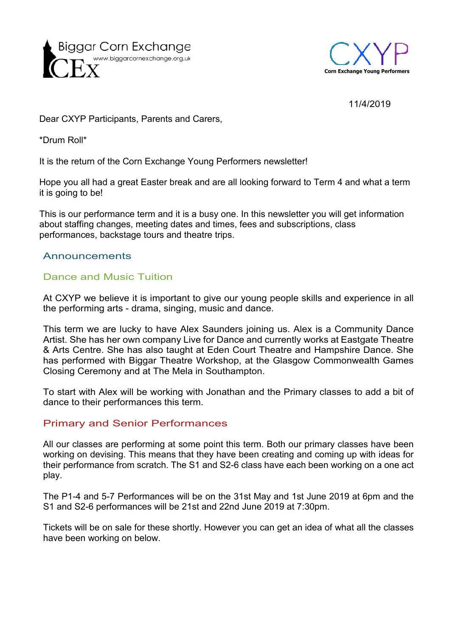



### 11/4/2019

Dear CXYP Participants, Parents and Carers,

\*Drum Roll\*

It is the return of the Corn Exchange Young Performers newsletter!

Hope you all had a great Easter break and are all looking forward to Term 4 and what a term it is going to be!

This is our performance term and it is a busy one. In this newsletter you will get information about staffing changes, meeting dates and times, fees and subscriptions, class performances, backstage tours and theatre trips.

## Announcements

## Dance and Music Tuition

At CXYP we believe it is important to give our young people skills and experience in all the performing arts - drama, singing, music and dance.

This term we are lucky to have Alex Saunders joining us. Alex is a Community Dance Artist. She has her own company Live for Dance and currently works at Eastgate Theatre & Arts Centre. She has also taught at Eden Court Theatre and Hampshire Dance. She has performed with Biggar Theatre Workshop, at the Glasgow Commonwealth Games Closing Ceremony and at The Mela in Southampton.

To start with Alex will be working with Jonathan and the Primary classes to add a bit of dance to their performances this term.

### Primary and Senior Performances

All our classes are performing at some point this term. Both our primary classes have been working on devising. This means that they have been creating and coming up with ideas for their performance from scratch. The S1 and S2-6 class have each been working on a one act play.

The P1-4 and 5-7 Performances will be on the 31st May and 1st June 2019 at 6pm and the S1 and S2-6 performances will be 21st and 22nd June 2019 at 7:30pm.

Tickets will be on sale for these shortly. However you can get an idea of what all the classes have been working on below.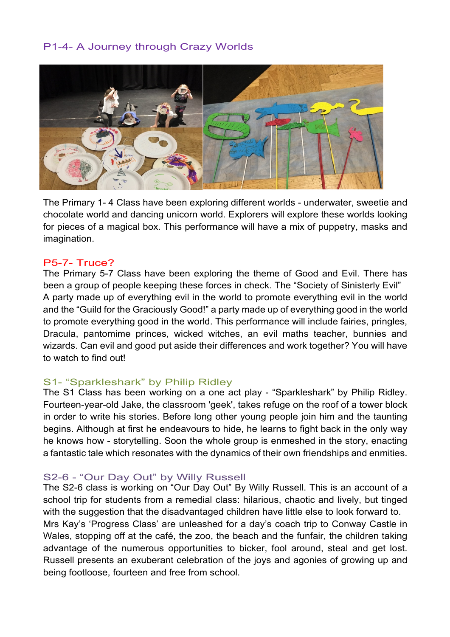# P1-4- A Journey through Crazy Worlds



The Primary 1- 4 Class have been exploring different worlds - underwater, sweetie and chocolate world and dancing unicorn world. Explorers will explore these worlds looking for pieces of a magical box. This performance will have a mix of puppetry, masks and imagination.

#### P5-7- Truce?

The Primary 5-7 Class have been exploring the theme of Good and Evil. There has been a group of people keeping these forces in check. The "Society of Sinisterly Evil" A party made up of everything evil in the world to promote everything evil in the world and the "Guild for the Graciously Good!" a party made up of everything good in the world to promote everything good in the world. This performance will include fairies, pringles, Dracula, pantomime princes, wicked witches, an evil maths teacher, bunnies and wizards. Can evil and good put aside their differences and work together? You will have to watch to find out!

### S1- "Sparkleshark" by Philip Ridley

The S1 Class has been working on a one act play - "Sparkleshark" by Philip Ridley. Fourteen-year-old Jake, the classroom 'geek', takes refuge on the roof of a tower block in order to write his stories. Before long other young people join him and the taunting begins. Although at first he endeavours to hide, he learns to fight back in the only way he knows how - storytelling. Soon the whole group is enmeshed in the story, enacting a fantastic tale which resonates with the dynamics of their own friendships and enmities.

#### S2-6 - "Our Day Out" by Willy Russell

The S2-6 class is working on "Our Day Out" By Willy Russell. This is an account of a school trip for students from a remedial class: hilarious, chaotic and lively, but tinged with the suggestion that the disadvantaged children have little else to look forward to. Mrs Kay's 'Progress Class' are unleashed for a day's coach trip to Conway Castle in Wales, stopping off at the café, the zoo, the beach and the funfair, the children taking advantage of the numerous opportunities to bicker, fool around, steal and get lost. Russell presents an exuberant celebration of the joys and agonies of growing up and being footloose, fourteen and free from school.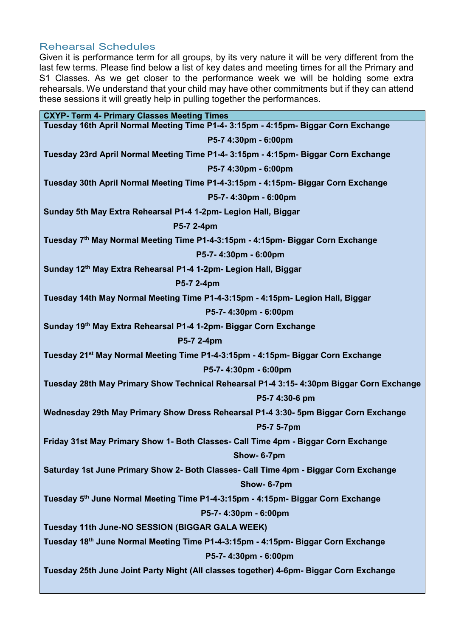# Rehearsal Schedules

Given it is performance term for all groups, by its very nature it will be very different from the last few terms. Please find below a list of key dates and meeting times for all the Primary and S1 Classes. As we get closer to the performance week we will be holding some extra rehearsals. We understand that your child may have other commitments but if they can attend these sessions it will greatly help in pulling together the performances.

| <b>CXYP- Term 4- Primary Classes Meeting Times</b>                                          |
|---------------------------------------------------------------------------------------------|
| Tuesday 16th April Normal Meeting Time P1-4- 3:15pm - 4:15pm- Biggar Corn Exchange          |
| P5-7 4:30pm - 6:00pm                                                                        |
| Tuesday 23rd April Normal Meeting Time P1-4- 3:15pm - 4:15pm- Biggar Corn Exchange          |
| P5-7 4:30pm - 6:00pm                                                                        |
| Tuesday 30th April Normal Meeting Time P1-4-3:15pm - 4:15pm- Biggar Corn Exchange           |
| P5-7-4:30pm - 6:00pm                                                                        |
| Sunday 5th May Extra Rehearsal P1-4 1-2pm- Legion Hall, Biggar                              |
| P5-7 2-4pm                                                                                  |
| Tuesday 7th May Normal Meeting Time P1-4-3:15pm - 4:15pm- Biggar Corn Exchange              |
| P5-7-4:30pm - 6:00pm                                                                        |
| Sunday 12th May Extra Rehearsal P1-4 1-2pm- Legion Hall, Biggar                             |
| P5-7 2-4pm                                                                                  |
| Tuesday 14th May Normal Meeting Time P1-4-3:15pm - 4:15pm- Legion Hall, Biggar              |
| P5-7-4:30pm - 6:00pm                                                                        |
| Sunday 19th May Extra Rehearsal P1-4 1-2pm- Biggar Corn Exchange                            |
| P5-7 2-4pm                                                                                  |
| Tuesday 21 <sup>st</sup> May Normal Meeting Time P1-4-3:15pm - 4:15pm- Biggar Corn Exchange |
| P5-7-4:30pm - 6:00pm                                                                        |
| Tuesday 28th May Primary Show Technical Rehearsal P1-4 3:15- 4:30pm Biggar Corn Exchange    |
| P5-7 4:30-6 pm                                                                              |
| Wednesday 29th May Primary Show Dress Rehearsal P1-4 3:30- 5pm Biggar Corn Exchange         |
| P5-7 5-7pm                                                                                  |
| Friday 31st May Primary Show 1- Both Classes- Call Time 4pm - Biggar Corn Exchange          |
| Show-6-7pm                                                                                  |
| Saturday 1st June Primary Show 2- Both Classes- Call Time 4pm - Biggar Corn Exchange        |
| Show-6-7pm                                                                                  |
| Tuesday 5th June Normal Meeting Time P1-4-3:15pm - 4:15pm- Biggar Corn Exchange             |
| P5-7-4:30pm - 6:00pm                                                                        |
| Tuesday 11th June-NO SESSION (BIGGAR GALA WEEK)                                             |
| Tuesday 18th June Normal Meeting Time P1-4-3:15pm - 4:15pm- Biggar Corn Exchange            |
| P5-7-4:30pm - 6:00pm                                                                        |
| Tuesday 25th June Joint Party Night (All classes together) 4-6pm- Biggar Corn Exchange      |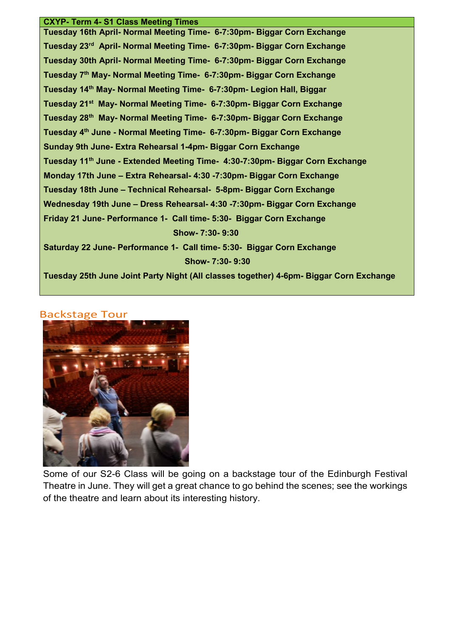#### **CXYP- Term 4- S1 Class Meeting Times**

**Tuesday 16th April- Normal Meeting Time- 6-7:30pm- Biggar Corn Exchange Tuesday 23rd April- Normal Meeting Time- 6-7:30pm- Biggar Corn Exchange Tuesday 30th April- Normal Meeting Time- 6-7:30pm- Biggar Corn Exchange Tuesday 7th May- Normal Meeting Time- 6-7:30pm- Biggar Corn Exchange Tuesday 14th May- Normal Meeting Time- 6-7:30pm- Legion Hall, Biggar Tuesday 21st May- Normal Meeting Time- 6-7:30pm- Biggar Corn Exchange Tuesday 28th May- Normal Meeting Time- 6-7:30pm- Biggar Corn Exchange Tuesday 4th June - Normal Meeting Time- 6-7:30pm- Biggar Corn Exchange Sunday 9th June- Extra Rehearsal 1-4pm- Biggar Corn Exchange Tuesday 11th June - Extended Meeting Time- 4:30-7:30pm- Biggar Corn Exchange Monday 17th June – Extra Rehearsal- 4:30 -7:30pm- Biggar Corn Exchange Tuesday 18th June – Technical Rehearsal- 5-8pm- Biggar Corn Exchange Wednesday 19th June – Dress Rehearsal- 4:30 -7:30pm- Biggar Corn Exchange Friday 21 June- Performance 1- Call time- 5:30- Biggar Corn Exchange Show- 7:30- 9:30 Saturday 22 June- Performance 1- Call time- 5:30- Biggar Corn Exchange Show- 7:30- 9:30**

**Tuesday 25th June Joint Party Night (All classes together) 4-6pm- Biggar Corn Exchange**

#### Backstage Tour



Some of our S2-6 Class will be going on a backstage tour of the Edinburgh Festival Theatre in June. They will get a great chance to go behind the scenes; see the workings of the theatre and learn about its interesting history.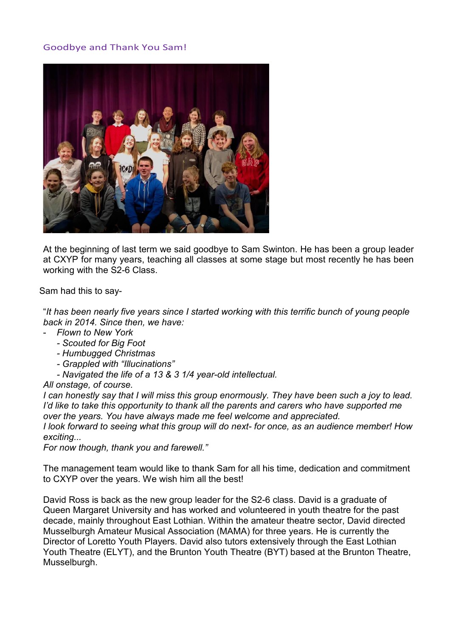# Goodbye and Thank You Sam!



At the beginning of last term we said goodbye to Sam Swinton. He has been a group leader at CXYP for many years, teaching all classes at some stage but most recently he has been working with the S2-6 Class.

Sam had this to say-

"*It has been nearly five years since I started working with this terrific bunch of young people back in 2014. Since then, we have:*

- *Flown to New York*
	- *- Scouted for Big Foot*
	- *- Humbugged Christmas*
	- *- Grappled with "Illucinations"*
	- *- Navigated the life of a 13 & 3 1/4 year-old intellectual.*

*All onstage, of course.*

*I can honestly say that I will miss this group enormously. They have been such a joy to lead. I'd like to take this opportunity to thank all the parents and carers who have supported me over the years. You have always made me feel welcome and appreciated.*

*I look forward to seeing what this group will do next- for once, as an audience member! How exciting...* 

*For now though, thank you and farewell."*

The management team would like to thank Sam for all his time, dedication and commitment to CXYP over the years. We wish him all the best!

David Ross is back as the new group leader for the S2-6 class. David is a graduate of Queen Margaret University and has worked and volunteered in youth theatre for the past decade, mainly throughout East Lothian. Within the amateur theatre sector, David directed Musselburgh Amateur Musical Association (MAMA) for three years. He is currently the Director of Loretto Youth Players. David also tutors extensively through the East Lothian Youth Theatre (ELYT), and the Brunton Youth Theatre (BYT) based at the Brunton Theatre, Musselburgh.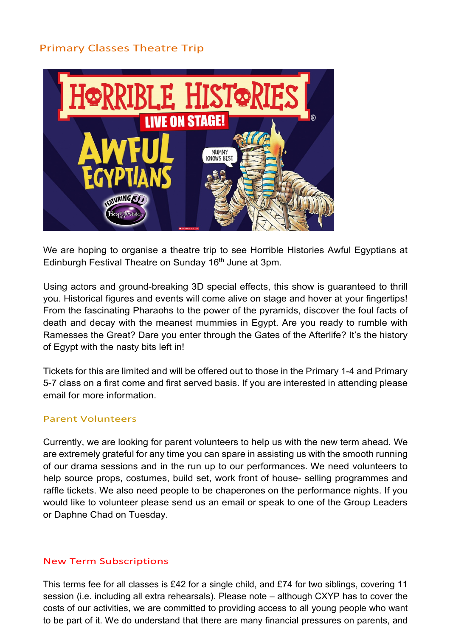# Primary Classes Theatre Trip



We are hoping to organise a theatre trip to see Horrible Histories Awful Egyptians at Edinburgh Festival Theatre on Sunday 16<sup>th</sup> June at 3pm.

Using actors and ground-breaking 3D special effects, this show is guaranteed to thrill you. Historical figures and events will come alive on stage and hover at your fingertips! From the fascinating Pharaohs to the power of the pyramids, discover the foul facts of death and decay with the meanest mummies in Egypt. Are you ready to rumble with Ramesses the Great? Dare you enter through the Gates of the Afterlife? It's the history of Egypt with the nasty bits left in!

Tickets for this are limited and will be offered out to those in the Primary 1-4 and Primary 5-7 class on a first come and first served basis. If you are interested in attending please email for more information.

### Parent Volunteers

Currently, we are looking for parent volunteers to help us with the new term ahead. We are extremely grateful for any time you can spare in assisting us with the smooth running of our drama sessions and in the run up to our performances. We need volunteers to help source props, costumes, build set, work front of house- selling programmes and raffle tickets. We also need people to be chaperones on the performance nights. If you would like to volunteer please send us an email or speak to one of the Group Leaders or Daphne Chad on Tuesday.

# New Term Subscriptions

This terms fee for all classes is £42 for a single child, and £74 for two siblings, covering 11 session (i.e. including all extra rehearsals). Please note – although CXYP has to cover the costs of our activities, we are committed to providing access to all young people who want to be part of it. We do understand that there are many financial pressures on parents, and